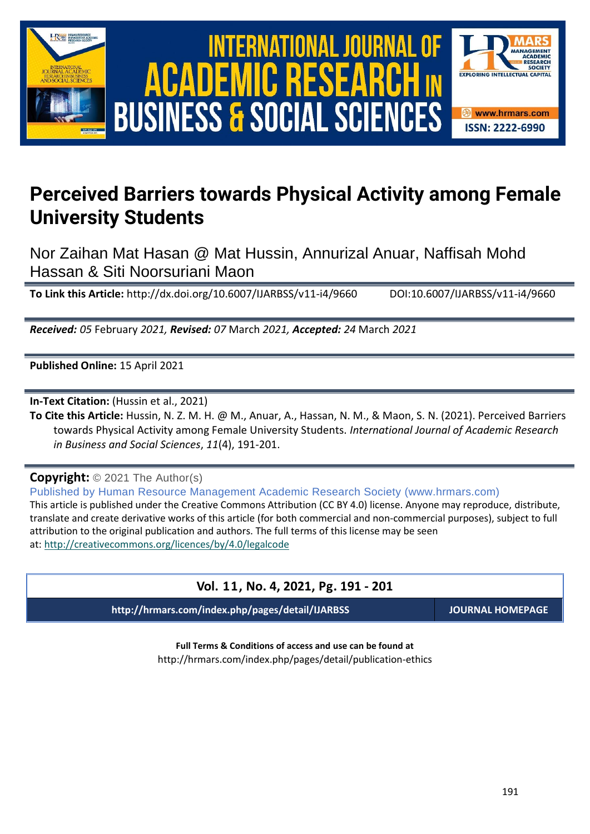

# International Journal of Academic Research in Business and Social Sciences **Vol. 1 1 , No. 4, 2021, E-ISSN: 2222-6990 © 2021 HRMARS** ACADEMIC R **BUSINESS & SOCIAL SCIENCES**



## **Perceived Barriers towards Physical Activity among Female University Students**

Nor Zaihan Mat Hasan @ Mat Hussin, Annurizal Anuar, Naffisah Mohd Hassan & Siti Noorsuriani Maon

**To Link this Article:** http://dx.doi.org/10.6007/IJARBSS/v11-i4/9660 DOI:10.6007/IJARBSS/v11-i4/9660

*Received: 05* February *2021, Revised: 07* March *2021, Accepted: 24* March *2021*

**Published Online:** 15 April 2021

**In-Text Citation:** (Hussin et al., 2021)

**To Cite this Article:** Hussin, N. Z. M. H. @ M., Anuar, A., Hassan, N. M., & Maon, S. N. (2021). Perceived Barriers towards Physical Activity among Female University Students. *International Journal of Academic Research in Business and Social Sciences*, *11*(4), 191-201.

**Copyright:** © 2021 The Author(s)

Published by Human Resource Management Academic Research Society (www.hrmars.com) This article is published under the Creative Commons Attribution (CC BY 4.0) license. Anyone may reproduce, distribute, translate and create derivative works of this article (for both commercial and non-commercial purposes), subject to full attribution to the original publication and authors. The full terms of this license may be seen at: <http://creativecommons.org/licences/by/4.0/legalcode>

## **Vol. 11, No. 4, 2021, Pg. 191 - 201**

**http://hrmars.com/index.php/pages/detail/IJARBSS JOURNAL HOMEPAGE**

**Full Terms & Conditions of access and use can be found at** http://hrmars.com/index.php/pages/detail/publication-ethics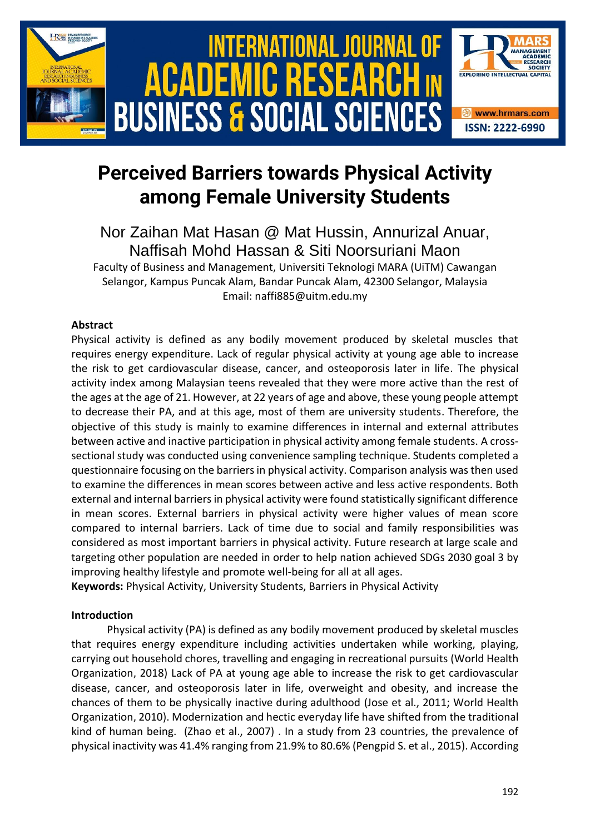

## **Perceived Barriers towards Physical Activity among Female University Students**

Nor Zaihan Mat Hasan @ Mat Hussin, Annurizal Anuar, Naffisah Mohd Hassan & Siti Noorsuriani Maon

Faculty of Business and Management, Universiti Teknologi MARA (UiTM) Cawangan Selangor, Kampus Puncak Alam, Bandar Puncak Alam, 42300 Selangor, Malaysia Email: naffi885@uitm.edu.my

## **Abstract**

Physical activity is defined as any bodily movement produced by skeletal muscles that requires energy expenditure. Lack of regular physical activity at young age able to increase the risk to get cardiovascular disease, cancer, and osteoporosis later in life. The physical activity index among Malaysian teens revealed that they were more active than the rest of the ages at the age of 21. However, at 22 years of age and above, these young people attempt to decrease their PA, and at this age, most of them are university students. Therefore, the objective of this study is mainly to examine differences in internal and external attributes between active and inactive participation in physical activity among female students. A crosssectional study was conducted using convenience sampling technique. Students completed a questionnaire focusing on the barriers in physical activity. Comparison analysis was then used to examine the differences in mean scores between active and less active respondents. Both external and internal barriers in physical activity were found statistically significant difference in mean scores. External barriers in physical activity were higher values of mean score compared to internal barriers. Lack of time due to social and family responsibilities was considered as most important barriers in physical activity. Future research at large scale and targeting other population are needed in order to help nation achieved SDGs 2030 goal 3 by improving healthy lifestyle and promote well-being for all at all ages.

**Keywords:** Physical Activity, University Students, Barriers in Physical Activity

## **Introduction**

Physical activity (PA) is defined as any bodily movement produced by skeletal muscles that requires energy expenditure including activities undertaken while working, playing, carrying out household chores, travelling and engaging in recreational pursuits (World Health Organization, 2018) Lack of PA at young age able to increase the risk to get cardiovascular disease, cancer, and osteoporosis later in life, overweight and obesity, and increase the chances of them to be physically inactive during adulthood (Jose et al., 2011; World Health Organization, 2010). Modernization and hectic everyday life have shifted from the traditional kind of human being. (Zhao et al., 2007) . In a study from 23 countries, the prevalence of physical inactivity was 41.4% ranging from 21.9% to 80.6% (Pengpid S. et al., 2015). According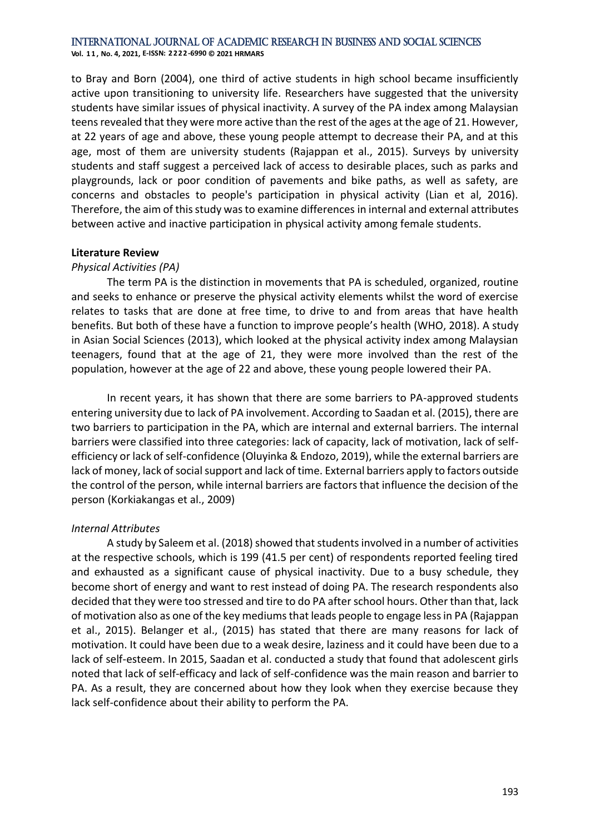**Vol. 1 1 , No. 4, 2021, E-ISSN: 2222-6990 © 2021 HRMARS**

to Bray and Born (2004), one third of active students in high school became insufficiently active upon transitioning to university life. Researchers have suggested that the university students have similar issues of physical inactivity. A survey of the PA index among Malaysian teens revealed that they were more active than the rest of the ages at the age of 21. However, at 22 years of age and above, these young people attempt to decrease their PA, and at this age, most of them are university students (Rajappan et al., 2015). Surveys by university students and staff suggest a perceived lack of access to desirable places, such as parks and playgrounds, lack or poor condition of pavements and bike paths, as well as safety, are concerns and obstacles to people's participation in physical activity (Lian et al, 2016). Therefore, the aim of this study was to examine differences in internal and external attributes between active and inactive participation in physical activity among female students.

#### **Literature Review**

#### *Physical Activities (PA)*

The term PA is the distinction in movements that PA is scheduled, organized, routine and seeks to enhance or preserve the physical activity elements whilst the word of exercise relates to tasks that are done at free time, to drive to and from areas that have health benefits. But both of these have a function to improve people's health (WHO, 2018). A study in Asian Social Sciences (2013), which looked at the physical activity index among Malaysian teenagers, found that at the age of 21, they were more involved than the rest of the population, however at the age of 22 and above, these young people lowered their PA.

In recent years, it has shown that there are some barriers to PA-approved students entering university due to lack of PA involvement. According to Saadan et al. (2015), there are two barriers to participation in the PA, which are internal and external barriers. The internal barriers were classified into three categories: lack of capacity, lack of motivation, lack of selfefficiency or lack of self-confidence (Oluyinka & Endozo, 2019), while the external barriers are lack of money, lack of social support and lack of time. External barriers apply to factors outside the control of the person, while internal barriers are factors that influence the decision of the person (Korkiakangas et al., 2009)

#### *Internal Attributes*

A study by Saleem et al. (2018) showed that students involved in a number of activities at the respective schools, which is 199 (41.5 per cent) of respondents reported feeling tired and exhausted as a significant cause of physical inactivity. Due to a busy schedule, they become short of energy and want to rest instead of doing PA. The research respondents also decided that they were too stressed and tire to do PA after school hours. Other than that, lack of motivation also as one of the key mediums that leads people to engage less in PA (Rajappan et al., 2015). Belanger et al., (2015) has stated that there are many reasons for lack of motivation. It could have been due to a weak desire, laziness and it could have been due to a lack of self-esteem. In 2015, Saadan et al. conducted a study that found that adolescent girls noted that lack of self-efficacy and lack of self-confidence was the main reason and barrier to PA. As a result, they are concerned about how they look when they exercise because they lack self-confidence about their ability to perform the PA.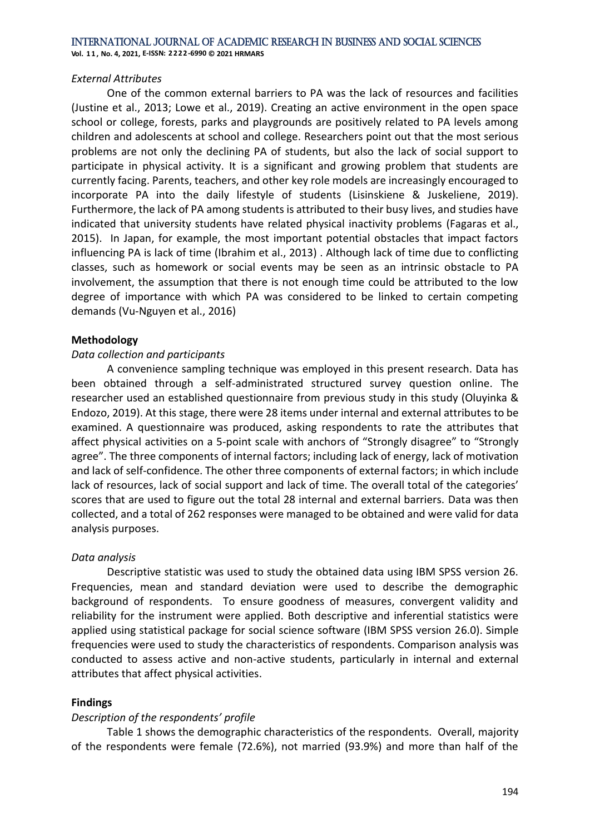**Vol. 1 1 , No. 4, 2021, E-ISSN: 2222-6990 © 2021 HRMARS**

#### *External Attributes*

One of the common external barriers to PA was the lack of resources and facilities (Justine et al., 2013; Lowe et al., 2019). Creating an active environment in the open space school or college, forests, parks and playgrounds are positively related to PA levels among children and adolescents at school and college. Researchers point out that the most serious problems are not only the declining PA of students, but also the lack of social support to participate in physical activity. It is a significant and growing problem that students are currently facing. Parents, teachers, and other key role models are increasingly encouraged to incorporate PA into the daily lifestyle of students (Lisinskiene & Juskeliene, 2019). Furthermore, the lack of PA among students is attributed to their busy lives, and studies have indicated that university students have related physical inactivity problems (Fagaras et al., 2015). In Japan, for example, the most important potential obstacles that impact factors influencing PA is lack of time (Ibrahim et al., 2013) . Although lack of time due to conflicting classes, such as homework or social events may be seen as an intrinsic obstacle to PA involvement, the assumption that there is not enough time could be attributed to the low degree of importance with which PA was considered to be linked to certain competing demands (Vu-Nguyen et al., 2016)

### **Methodology**

### *Data collection and participants*

A convenience sampling technique was employed in this present research. Data has been obtained through a self-administrated structured survey question online. The researcher used an established questionnaire from previous study in this study (Oluyinka & Endozo, 2019). At this stage, there were 28 items under internal and external attributes to be examined. A questionnaire was produced, asking respondents to rate the attributes that affect physical activities on a 5-point scale with anchors of "Strongly disagree" to "Strongly agree". The three components of internal factors; including lack of energy, lack of motivation and lack of self-confidence. The other three components of external factors; in which include lack of resources, lack of social support and lack of time. The overall total of the categories' scores that are used to figure out the total 28 internal and external barriers. Data was then collected, and a total of 262 responses were managed to be obtained and were valid for data analysis purposes.

## *Data analysis*

Descriptive statistic was used to study the obtained data using IBM SPSS version 26. Frequencies, mean and standard deviation were used to describe the demographic background of respondents. To ensure goodness of measures, convergent validity and reliability for the instrument were applied. Both descriptive and inferential statistics were applied using statistical package for social science software (IBM SPSS version 26.0). Simple frequencies were used to study the characteristics of respondents. Comparison analysis was conducted to assess active and non-active students, particularly in internal and external attributes that affect physical activities.

## **Findings**

#### *Description of the respondents' profile*

Table 1 shows the demographic characteristics of the respondents. Overall, majority of the respondents were female (72.6%), not married (93.9%) and more than half of the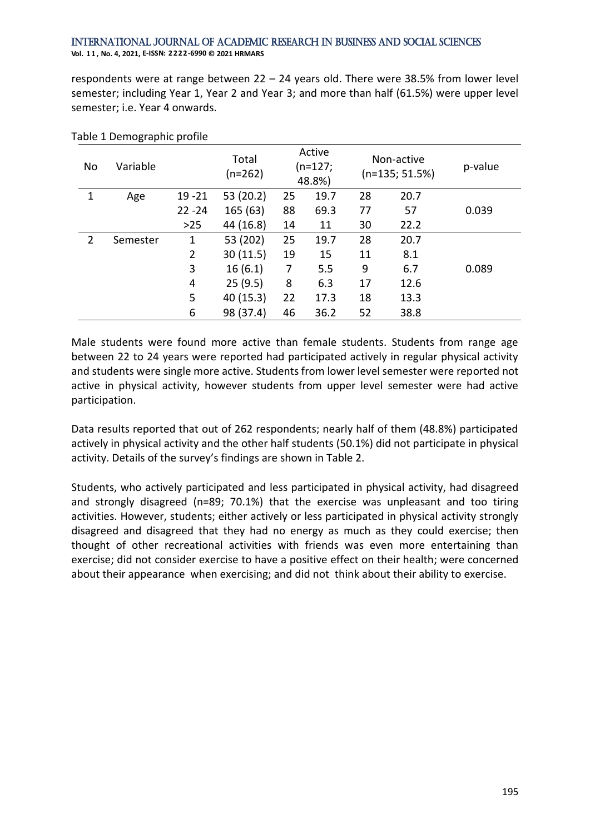International Journal of Academic Research in Business and Social Sciences **Vol. 1 1 , No. 4, 2021, E-ISSN: 2222-6990 © 2021 HRMARS**

respondents were at range between 22 – 24 years old. There were 38.5% from lower level semester; including Year 1, Year 2 and Year 3; and more than half (61.5%) were upper level semester; i.e. Year 4 onwards.

| No | Variable |                | Total<br>$(n=262)$ |    | Active<br>$(n=127;$<br>48.8%) |    | Non-active<br>$(n=135; 51.5%)$ | p-value |
|----|----------|----------------|--------------------|----|-------------------------------|----|--------------------------------|---------|
| 1  | Age      | $19 - 21$      | 53 (20.2)          | 25 | 19.7                          | 28 | 20.7                           |         |
|    |          | $22 - 24$      | 165 (63)           | 88 | 69.3                          | 77 | 57                             | 0.039   |
|    |          | $>25$          | 44 (16.8)          | 14 | 11                            | 30 | 22.2                           |         |
| 2  | Semester | 1              | 53 (202)           | 25 | 19.7                          | 28 | 20.7                           |         |
|    |          | $\overline{2}$ | 30(11.5)           | 19 | 15                            | 11 | 8.1                            |         |
|    |          | 3              | 16(6.1)            | 7  | 5.5                           | 9  | 6.7                            | 0.089   |
|    |          | 4              | 25(9.5)            | 8  | 6.3                           | 17 | 12.6                           |         |
|    |          | 5              | 40 (15.3)          | 22 | 17.3                          | 18 | 13.3                           |         |
|    |          | 6              | 98 (37.4)          | 46 | 36.2                          | 52 | 38.8                           |         |

#### Table 1 Demographic profile

Male students were found more active than female students. Students from range age between 22 to 24 years were reported had participated actively in regular physical activity and students were single more active. Students from lower level semester were reported not active in physical activity, however students from upper level semester were had active participation.

Data results reported that out of 262 respondents; nearly half of them (48.8%) participated actively in physical activity and the other half students (50.1%) did not participate in physical activity. Details of the survey's findings are shown in Table 2.

Students, who actively participated and less participated in physical activity, had disagreed and strongly disagreed (n=89; 70.1%) that the exercise was unpleasant and too tiring activities. However, students; either actively or less participated in physical activity strongly disagreed and disagreed that they had no energy as much as they could exercise; then thought of other recreational activities with friends was even more entertaining than exercise; did not consider exercise to have a positive effect on their health; were concerned about their appearance when exercising; and did not think about their ability to exercise.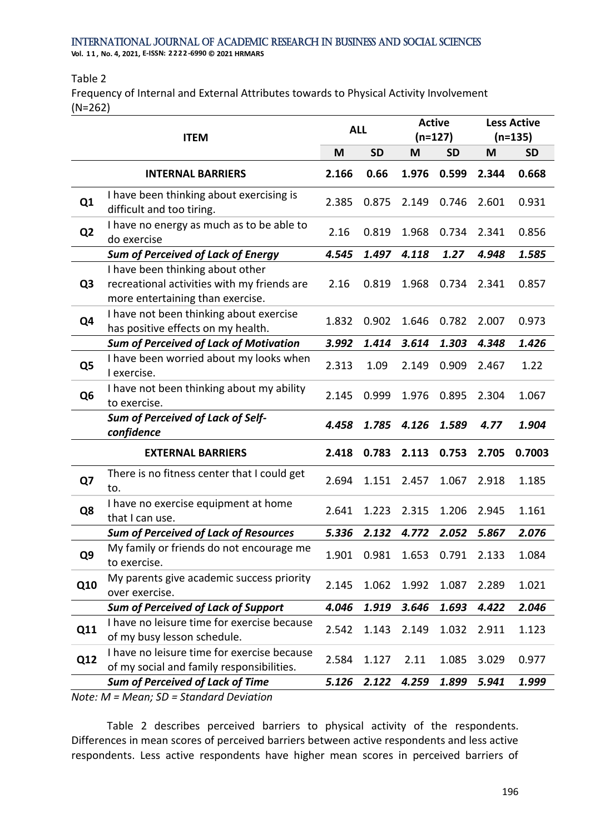**Vol. 1 1 , No. 4, 2021, E-ISSN: 2222-6990 © 2021 HRMARS**

#### Table 2

Frequency of Internal and External Attributes towards to Physical Activity Involvement (N=262)

|                | <b>ITEM</b>                                                                                                         |       | <b>ALL</b> | <b>Active</b><br>$(n=127)$ |           | <b>Less Active</b><br>$(n=135)$ |           |
|----------------|---------------------------------------------------------------------------------------------------------------------|-------|------------|----------------------------|-----------|---------------------------------|-----------|
|                |                                                                                                                     | M     | <b>SD</b>  | M                          | <b>SD</b> | M                               | <b>SD</b> |
|                | <b>INTERNAL BARRIERS</b>                                                                                            | 2.166 | 0.66       | 1.976                      | 0.599     | 2.344                           | 0.668     |
| Q1             | I have been thinking about exercising is<br>difficult and too tiring.                                               | 2.385 | 0.875      | 2.149                      | 0.746     | 2.601                           | 0.931     |
| Q <sub>2</sub> | I have no energy as much as to be able to<br>do exercise                                                            | 2.16  | 0.819      | 1.968                      | 0.734     | 2.341                           | 0.856     |
|                | <b>Sum of Perceived of Lack of Energy</b>                                                                           | 4.545 | 1.497      | 4.118                      | 1.27      | 4.948                           | 1.585     |
| Q <sub>3</sub> | I have been thinking about other<br>recreational activities with my friends are<br>more entertaining than exercise. | 2.16  | 0.819      | 1.968                      | 0.734     | 2.341                           | 0.857     |
| Q4             | I have not been thinking about exercise<br>has positive effects on my health.                                       | 1.832 | 0.902      | 1.646                      | 0.782     | 2.007                           | 0.973     |
|                | <b>Sum of Perceived of Lack of Motivation</b>                                                                       | 3.992 | 1.414      | 3.614                      | 1.303     | 4.348                           | 1.426     |
| Q <sub>5</sub> | I have been worried about my looks when<br>I exercise.                                                              | 2.313 | 1.09       | 2.149                      | 0.909     | 2.467                           | 1.22      |
| Q <sub>6</sub> | I have not been thinking about my ability<br>to exercise.                                                           | 2.145 | 0.999      | 1.976                      | 0.895     | 2.304                           | 1.067     |
|                | <b>Sum of Perceived of Lack of Self-</b><br>confidence                                                              | 4.458 | 1.785      | 4.126                      | 1.589     | 4.77                            | 1.904     |
|                | <b>EXTERNAL BARRIERS</b>                                                                                            | 2.418 | 0.783      | 2.113                      | 0.753     | 2.705                           | 0.7003    |
| Q7             | There is no fitness center that I could get<br>to.                                                                  | 2.694 | 1.151      | 2.457                      | 1.067     | 2.918                           | 1.185     |
| Q8             | I have no exercise equipment at home<br>that I can use.                                                             | 2.641 | 1.223      | 2.315                      | 1.206     | 2.945                           | 1.161     |
|                | <b>Sum of Perceived of Lack of Resources</b>                                                                        | 5.336 | 2.132      | 4.772                      | 2.052     | 5.867                           | 2.076     |
| Q9             | My family or friends do not encourage me<br>to exercise.                                                            | 1.901 | 0.981      | 1.653                      | 0.791     | 2.133                           | 1.084     |
| Q10            | My parents give academic success priority<br>over exercise.                                                         | 2.145 | 1.062      | 1.992                      | 1.087     | 2.289                           | 1.021     |
|                | <b>Sum of Perceived of Lack of Support</b>                                                                          | 4.046 | 1.919      | 3.646                      | 1.693     | 4.422                           | 2.046     |
| Q11            | I have no leisure time for exercise because<br>of my busy lesson schedule.                                          | 2.542 | 1.143      | 2.149                      | 1.032     | 2.911                           | 1.123     |
| Q12            | I have no leisure time for exercise because<br>of my social and family responsibilities.                            | 2.584 | 1.127      | 2.11                       | 1.085     | 3.029                           | 0.977     |
|                | <b>Sum of Perceived of Lack of Time</b>                                                                             | 5.126 | 2.122      | 4.259                      | 1.899     | 5.941                           | 1.999     |
|                | $Mote \cdot M - Mean \cdot SD - Standard Deviation$                                                                 |       |            |                            |           |                                 |           |

*Note: M = Mean; SD = Standard Deviation*

Table 2 describes perceived barriers to physical activity of the respondents. Differences in mean scores of perceived barriers between active respondents and less active respondents. Less active respondents have higher mean scores in perceived barriers of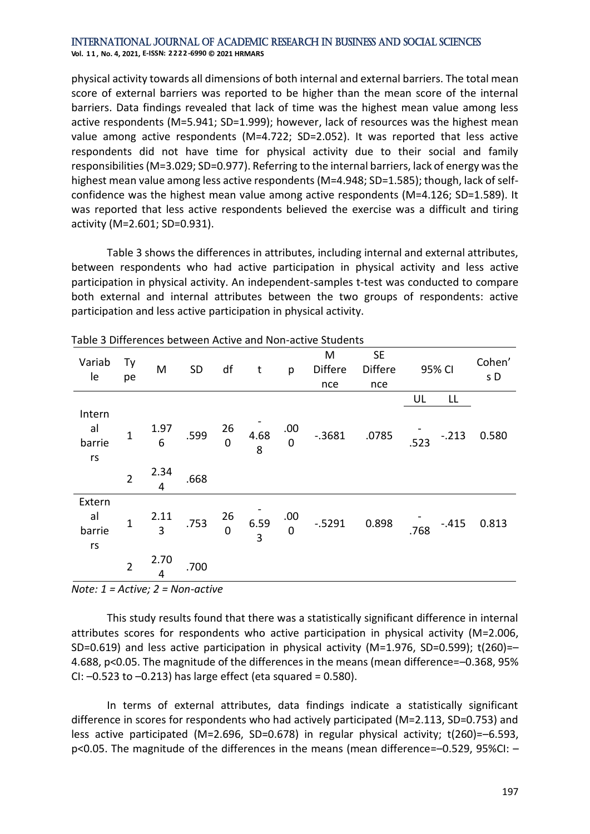#### International Journal of Academic Research in Business and Social Sciences **Vol. 1 1 , No. 4, 2021, E-ISSN: 2222-6990 © 2021 HRMARS**

physical activity towards all dimensions of both internal and external barriers. The total mean score of external barriers was reported to be higher than the mean score of the internal barriers. Data findings revealed that lack of time was the highest mean value among less active respondents (M=5.941; SD=1.999); however, lack of resources was the highest mean value among active respondents (M=4.722; SD=2.052). It was reported that less active respondents did not have time for physical activity due to their social and family responsibilities (M=3.029; SD=0.977). Referring to the internal barriers, lack of energy was the highest mean value among less active respondents (M=4.948; SD=1.585); though, lack of selfconfidence was the highest mean value among active respondents (M=4.126; SD=1.589). It was reported that less active respondents believed the exercise was a difficult and tiring activity (M=2.601; SD=0.931).

Table 3 shows the differences in attributes, including internal and external attributes, between respondents who had active participation in physical activity and less active participation in physical activity. An independent-samples t-test was conducted to compare both external and internal attributes between the two groups of respondents: active participation and less active participation in physical activity.

| Variab<br>le                   | Тy<br>pe       | M         | SD   | df                   | t                      | p                  | M<br><b>Differe</b><br>nce | <b>SE</b><br><b>Differe</b><br>nce |      | 95% CI  | Cohen'<br>s D |
|--------------------------------|----------------|-----------|------|----------------------|------------------------|--------------------|----------------------------|------------------------------------|------|---------|---------------|
|                                |                |           |      |                      |                        |                    |                            |                                    | UL   | LL      |               |
| Intern<br>al<br>barrie<br>$rs$ | 1              | 1.97<br>6 | .599 | 26<br>$\mathbf 0$    | 4.68<br>8              | .00<br>$\mathbf 0$ | $-0.3681$                  | .0785                              | .523 | $-.213$ | 0.580         |
|                                | $\overline{2}$ | 2.34<br>4 | .668 |                      |                        |                    |                            |                                    |      |         |               |
| Extern<br>al<br>barrie<br>rs   | $\mathbf 1$    | 2.11<br>3 | .753 | 26<br>$\overline{0}$ | 6.59<br>$\overline{3}$ | .00<br>$\mathbf 0$ | $-0.5291$                  | 0.898                              | .768 | $-.415$ | 0.813         |
|                                | $\overline{2}$ | 2.70<br>4 | .700 |                      |                        |                    |                            |                                    |      |         |               |

Table 3 Differences between Active and Non-active Students

*Note: 1 = Active; 2 = Non-active*

This study results found that there was a statistically significant difference in internal attributes scores for respondents who active participation in physical activity (M=2.006, SD=0.619) and less active participation in physical activity ( $M=1.976$ , SD=0.599); t(260)=-4.688, p<0.05. The magnitude of the differences in the means (mean difference=–0.368, 95% CI:  $-0.523$  to  $-0.213$ ) has large effect (eta squared = 0.580).

In terms of external attributes, data findings indicate a statistically significant difference in scores for respondents who had actively participated (M=2.113, SD=0.753) and less active participated (M=2.696, SD=0.678) in regular physical activity; t(260)=–6.593, p<0.05. The magnitude of the differences in the means (mean difference=–0.529, 95%CI: –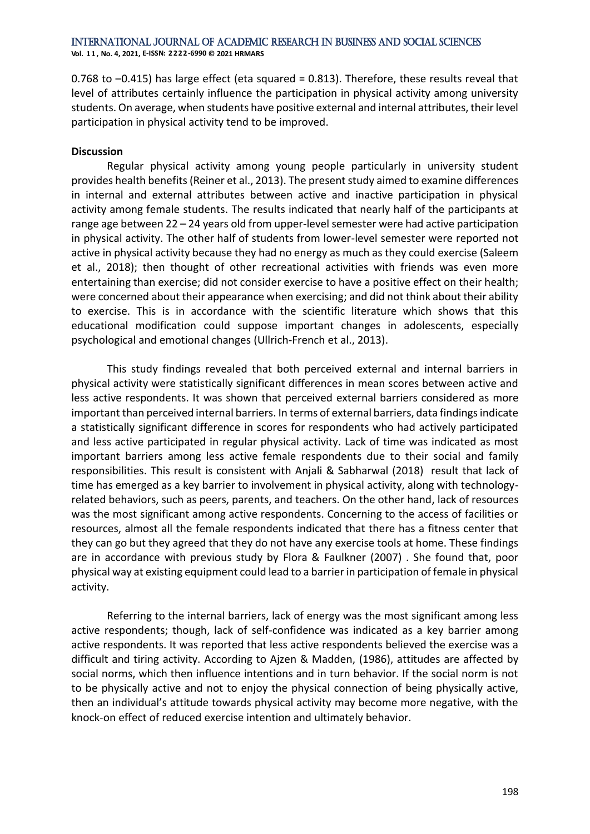**Vol. 1 1 , No. 4, 2021, E-ISSN: 2222-6990 © 2021 HRMARS**

0.768 to –0.415) has large effect (eta squared = 0.813). Therefore, these results reveal that level of attributes certainly influence the participation in physical activity among university students. On average, when students have positive external and internal attributes, their level participation in physical activity tend to be improved.

#### **Discussion**

Regular physical activity among young people particularly in university student provides health benefits(Reiner et al., 2013). The present study aimed to examine differences in internal and external attributes between active and inactive participation in physical activity among female students. The results indicated that nearly half of the participants at range age between 22 – 24 years old from upper-level semester were had active participation in physical activity. The other half of students from lower-level semester were reported not active in physical activity because they had no energy as much as they could exercise (Saleem et al., 2018); then thought of other recreational activities with friends was even more entertaining than exercise; did not consider exercise to have a positive effect on their health; were concerned about their appearance when exercising; and did not think about their ability to exercise. This is in accordance with the scientific literature which shows that this educational modification could suppose important changes in adolescents, especially psychological and emotional changes (Ullrich-French et al., 2013).

This study findings revealed that both perceived external and internal barriers in physical activity were statistically significant differences in mean scores between active and less active respondents. It was shown that perceived external barriers considered as more important than perceived internal barriers. In terms of external barriers, data findings indicate a statistically significant difference in scores for respondents who had actively participated and less active participated in regular physical activity. Lack of time was indicated as most important barriers among less active female respondents due to their social and family responsibilities. This result is consistent with Anjali & Sabharwal (2018) result that lack of time has emerged as a key barrier to involvement in physical activity, along with technologyrelated behaviors, such as peers, parents, and teachers. On the other hand, lack of resources was the most significant among active respondents. Concerning to the access of facilities or resources, almost all the female respondents indicated that there has a fitness center that they can go but they agreed that they do not have any exercise tools at home. These findings are in accordance with previous study by Flora & Faulkner (2007) . She found that, poor physical way at existing equipment could lead to a barrier in participation of female in physical activity.

Referring to the internal barriers, lack of energy was the most significant among less active respondents; though, lack of self-confidence was indicated as a key barrier among active respondents. It was reported that less active respondents believed the exercise was a difficult and tiring activity. According to Ajzen & Madden, (1986), attitudes are affected by social norms, which then influence intentions and in turn behavior. If the social norm is not to be physically active and not to enjoy the physical connection of being physically active, then an individual's attitude towards physical activity may become more negative, with the knock-on effect of reduced exercise intention and ultimately behavior.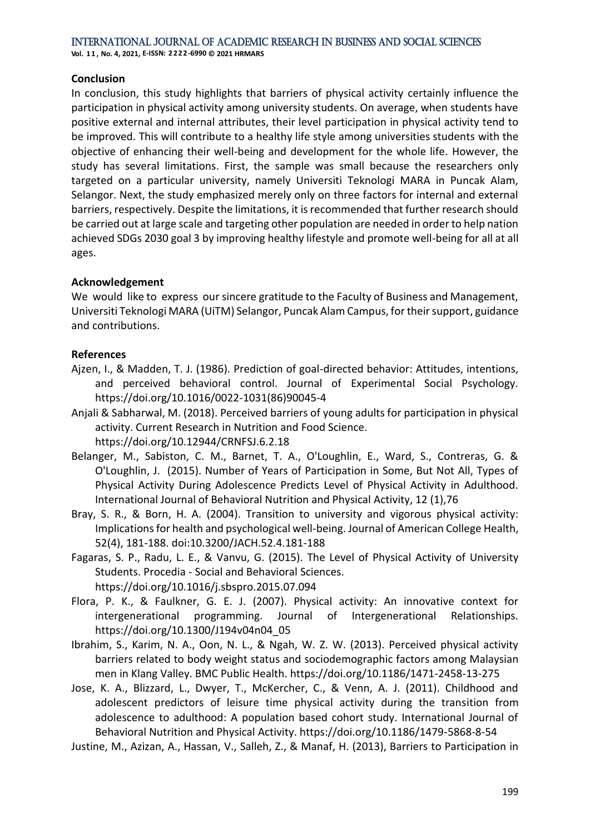#### **Conclusion**

In conclusion, this study highlights that barriers of physical activity certainly influence the participation in physical activity among university students. On average, when students have positive external and internal attributes, their level participation in physical activity tend to be improved. This will contribute to a healthy life style among universities students with the objective of enhancing their well-being and development for the whole life. However, the study has several limitations. First, the sample was small because the researchers only targeted on a particular university, namely Universiti Teknologi MARA in Puncak Alam, Selangor. Next, the study emphasized merely only on three factors for internal and external barriers, respectively. Despite the limitations, it is recommended that further research should be carried out at large scale and targeting other population are needed in order to help nation achieved SDGs 2030 goal 3 by improving healthy lifestyle and promote well-being for all at all ages.

### **Acknowledgement**

We would like to express our sincere gratitude to the Faculty of Business and Management, Universiti Teknologi MARA (UiTM) Selangor, Puncak Alam Campus, for their support, guidance and contributions.

### **References**

- Ajzen, I., & Madden, T. J. (1986). Prediction of goal-directed behavior: Attitudes, intentions, and perceived behavioral control. Journal of Experimental Social Psychology. https://doi.org/10.1016/0022-1031(86)90045-4
- Anjali & Sabharwal, M. (2018). Perceived barriers of young adults for participation in physical activity. Current Research in Nutrition and Food Science. https://doi.org/10.12944/CRNFSJ.6.2.18
- Belanger, M., Sabiston, C. M., Barnet, T. A., O'Loughlin, E., Ward, S., Contreras, G. & O'Loughlin, J. (2015). Number of Years of Participation in Some, But Not All, Types of Physical Activity During Adolescence Predicts Level of Physical Activity in Adulthood. International Journal of Behavioral Nutrition and Physical Activity, 12 (1),76
- Bray, S. R., & Born, H. A. (2004). Transition to university and vigorous physical activity: Implications for health and psychological well-being. Journal of American College Health, 52(4), 181-188. doi:10.3200/JACH.52.4.181-188
- Fagaras, S. P., Radu, L. E., & Vanvu, G. (2015). The Level of Physical Activity of University Students. Procedia - Social and Behavioral Sciences. https://doi.org/10.1016/j.sbspro.2015.07.094
- Flora, P. K., & Faulkner, G. E. J. (2007). Physical activity: An innovative context for intergenerational programming. Journal of Intergenerational Relationships. https://doi.org/10.1300/J194v04n04\_05
- Ibrahim, S., Karim, N. A., Oon, N. L., & Ngah, W. Z. W. (2013). Perceived physical activity barriers related to body weight status and sociodemographic factors among Malaysian men in Klang Valley. BMC Public Health. https://doi.org/10.1186/1471-2458-13-275

Jose, K. A., Blizzard, L., Dwyer, T., McKercher, C., & Venn, A. J. (2011). Childhood and adolescent predictors of leisure time physical activity during the transition from adolescence to adulthood: A population based cohort study. International Journal of Behavioral Nutrition and Physical Activity. https://doi.org/10.1186/1479-5868-8-54

Justine, M., Azizan, A., Hassan, V., Salleh, Z., & Manaf, H. (2013), Barriers to Participation in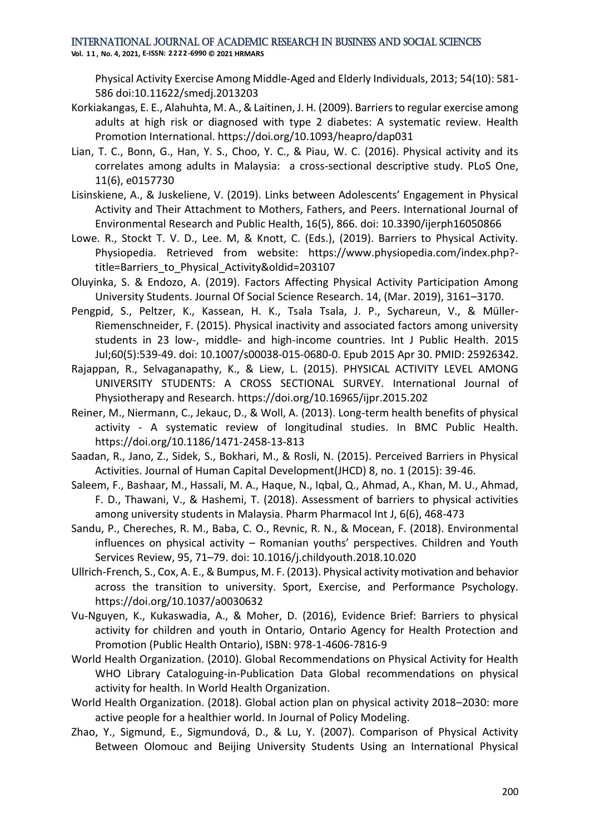**Vol. 1 1 , No. 4, 2021, E-ISSN: 2222-6990 © 2021 HRMARS**

Physical Activity Exercise Among Middle-Aged and Elderly Individuals, 2013; 54(10): 581- 586 doi:10.11622/smedj.2013203

- Korkiakangas, E. E., Alahuhta, M. A., & Laitinen, J. H. (2009). Barriers to regular exercise among adults at high risk or diagnosed with type 2 diabetes: A systematic review. Health Promotion International. https://doi.org/10.1093/heapro/dap031
- Lian, T. C., Bonn, G., Han, Y. S., Choo, Y. C., & Piau, W. C. (2016). Physical activity and its correlates among adults in Malaysia: a cross-sectional descriptive study. PLoS One, 11(6), e0157730
- Lisinskiene, A., & Juskeliene, V. (2019). Links between Adolescents' Engagement in Physical Activity and Their Attachment to Mothers, Fathers, and Peers. International Journal of Environmental Research and Public Health, 16(5), 866. doi: 10.3390/ijerph16050866
- Lowe. R., Stockt T. V. D., Lee. M, & Knott, C. (Eds.), (2019). Barriers to Physical Activity. Physiopedia. Retrieved from website: https://www.physiopedia.com/index.php? title=Barriers\_to\_Physical\_Activity&oldid=203107
- Oluyinka, S. & Endozo, A. (2019). Factors Affecting Physical Activity Participation Among University Students. Journal Of Social Science Research. 14, (Mar. 2019), 3161–3170.
- Pengpid, S., Peltzer, K., Kassean, H. K., Tsala Tsala, J. P., Sychareun, V., & Müller-Riemenschneider, F. (2015). Physical inactivity and associated factors among university students in 23 low-, middle- and high-income countries. Int J Public Health. 2015 Jul;60(5):539-49. doi: 10.1007/s00038-015-0680-0. Epub 2015 Apr 30. PMID: 25926342.
- Rajappan, R., Selvaganapathy, K., & Liew, L. (2015). PHYSICAL ACTIVITY LEVEL AMONG UNIVERSITY STUDENTS: A CROSS SECTIONAL SURVEY. International Journal of Physiotherapy and Research. https://doi.org/10.16965/ijpr.2015.202
- Reiner, M., Niermann, C., Jekauc, D., & Woll, A. (2013). Long-term health benefits of physical activity - A systematic review of longitudinal studies. In BMC Public Health. https://doi.org/10.1186/1471-2458-13-813
- Saadan, R., Jano, Z., Sidek, S., Bokhari, M., & Rosli, N. (2015). Perceived Barriers in Physical Activities. Journal of Human Capital Development(JHCD) 8, no. 1 (2015): 39-46.
- Saleem, F., Bashaar, M., Hassali, M. A., Haque, N., Iqbal, Q., Ahmad, A., Khan, M. U., Ahmad, F. D., Thawani, V., & Hashemi, T. (2018). Assessment of barriers to physical activities among university students in Malaysia. Pharm Pharmacol Int J, 6(6), 468-473
- Sandu, P., Chereches, R. M., Baba, C. O., Revnic, R. N., & Mocean, F. (2018). Environmental influences on physical activity – Romanian youths' perspectives. Children and Youth Services Review, 95, 71–79. doi: 10.1016/j.childyouth.2018.10.020
- Ullrich-French, S., Cox, A. E., & Bumpus, M. F. (2013). Physical activity motivation and behavior across the transition to university. Sport, Exercise, and Performance Psychology. https://doi.org/10.1037/a0030632
- Vu-Nguyen, K., Kukaswadia, A., & Moher, D. (2016), Evidence Brief: Barriers to physical activity for children and youth in Ontario, Ontario Agency for Health Protection and Promotion (Public Health Ontario), ISBN: 978-1-4606-7816-9
- World Health Organization. (2010). Global Recommendations on Physical Activity for Health WHO Library Cataloguing-in-Publication Data Global recommendations on physical activity for health. In World Health Organization.
- World Health Organization. (2018). Global action plan on physical activity 2018–2030: more active people for a healthier world. In Journal of Policy Modeling.
- Zhao, Y., Sigmund, E., Sigmundová, D., & Lu, Y. (2007). Comparison of Physical Activity Between Olomouc and Beijing University Students Using an International Physical